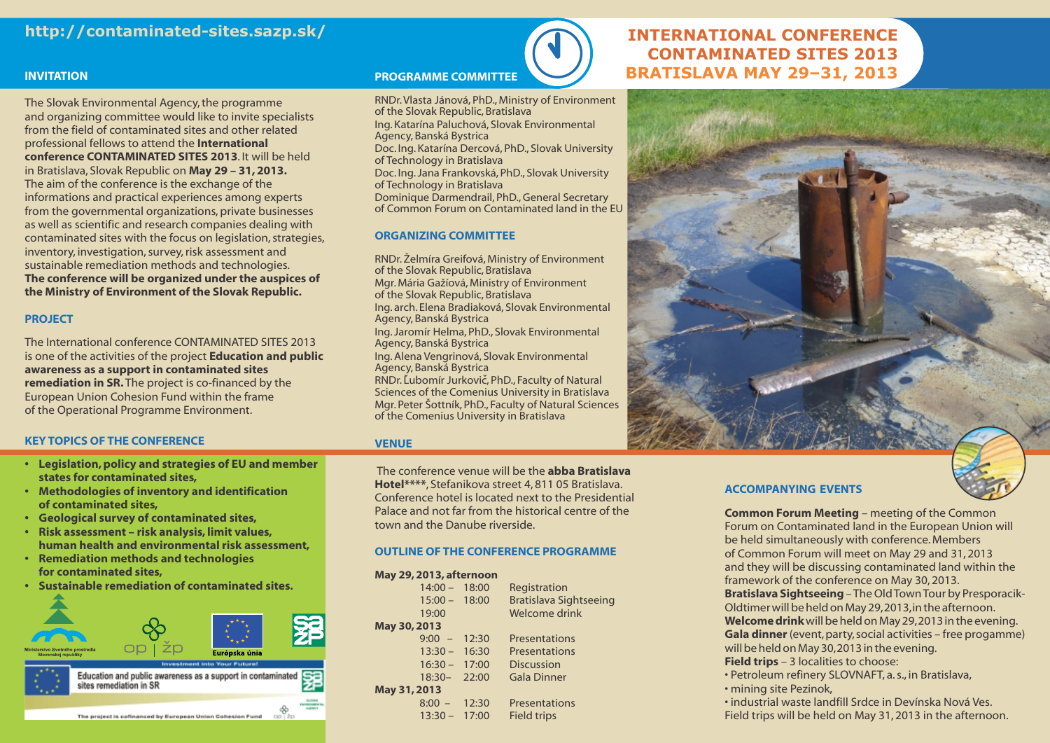# **http://contaminated-sites.sazp.sk/**

### **INVITATION**

The Slovak Environmental Agency, the programme and organizing committee would like to invite specialists from the field of contaminated sites and other related professional fellows to attend the **International conference CONTAMINATED SITES 2013**. It will be held in Bratislava, Slovak Republic on **May 29 – 31, 2013.** The aim of the conference is the exchange of the informations and practical experiences among experts from the governmental organizations, private businesses as well as scientific and research companies dealing with contaminated sites with the focus on legislation, strategies, inventory, investigation, survey, risk assessment and sustainable remediation methods and technologies. **The conference will be organized under the auspices of the Ministry of Environment of the Slovak Republic.**

### **PROJECT**

The International conference CONTAMINATED SITES 2013 is one of the activities of the project **Education and public awareness as a support in contaminated sites remediation in SR.** The project is co-financed by the European Union Cohesion Fund within the frame of the Operational Programme Environment.

### **KEY TOPICS OF THE CONFERENCE**

- **• Legislation, policy and strategies of EU and member states for contaminated sites,**
- **• Methodologies of inventory and identification of contaminated sites,**
- **• Geological survey of contaminated sites,**
- **• Risk assessment risk analysis, limit values, human health and environmental risk assessment,**
- **• Remediation methods and technologies for contaminated sites,**
- **Sustainable remediation of contaminated sites.**



### **PROGRAMME COMMITTEE**

RNDr.Vlasta Jánová, PhD., Ministry of Environment of the Slovak Republic, Bratislava Ing. Katarína Paluchová, Slovak Environmental Agency, Banská Bystrica Doc. Ing. Katarína Dercová, PhD., Slovak University of Technology in Bratislava Doc. Ing. Jana Frankovská, PhD., Slovak University of Technology in Bratislava Dominique Darmendrail, PhD., General Secretary of Common Forum on Contaminated land in the EU

### **ORGANIZING COMMITTEE**

RNDr. Želmíra Greifová, Ministry of Environment of the Slovak Republic, Bratislava Mgr. Mária Gažíová, Ministry of Environment of the Slovak Republic, Bratislava Ing. arch. Elena Bradiaková, Slovak Environmental Agency, Banská Bystrica Ing. Jaromír Helma, PhD., Slovak Environmental Agency, Banská Bystrica Ing. Alena Vengrinová, Slovak Environmental Agency, Banská Bystrica RNDr. Ľubomír Jurkovič, PhD., Faculty of Natural Sciences of the Comenius University in Bratislava Mgr. Peter Šottník, PhD., Faculty of Natural Sciences of the Comenius University in Bratislava

### **VENUE**

The conference venue will be the **abba Bratislava Hotel\*\*\*\***, Stefanikova street 4, 811 05 Bratislava. Conference hotel is located next to the Presidential Palace and not far from the historical centre of the town and the Danube riverside.

### **OUTLINE OF THE CONFERENCE PROGRAMME**

### **May 29, 2013, afternoon**

|              | $14:00 -$       | 18:00 | Registration                  |
|--------------|-----------------|-------|-------------------------------|
|              | $15:00 -$       | 18:00 | <b>Bratislava Sightseeing</b> |
|              | 19:00           |       | Welcome drink                 |
| May 30, 2013 |                 |       |                               |
|              | $9:00 - 12:30$  |       | Presentations                 |
|              | $13:30 - 16:30$ |       | Presentations                 |
|              | $16:30 -$       | 17:00 | <b>Discussion</b>             |
|              | $18:30 - 22:00$ |       | <b>Gala Dinner</b>            |
| May 31, 2013 |                 |       |                               |
|              | $8:00 -$        | 12:30 | Presentations                 |
|              | $13:30 - 17:00$ |       | <b>Field trips</b>            |
|              |                 |       |                               |

# **INTERNATIONAL CONFERENCE CONTAMINATED SITES 2013 BRATISLAVA MAY 29–31, 2013**



### **ACCOMPANYING EVENTS**

**Common Forum Meeting** – meeting of the Common Forum on Contaminated land in the European Union will be held simultaneously with conference. Members of Common Forum will meet on May 29 and 31, 2013 and they will be discussing contaminated land within the framework of the conference on May 30, 2013. **Bratislava Sightseeing** – The Old Town Tour by Presporacik-Oldtimer will be held on May 29,2013,in the afternoon. **Welcome drink**will be held on May 29,2013in the evening. **Gala dinner** (event, party, social activities – free progamme) will be held on May 30,2013 in the evening. **Field trips** – 3 localities to choose:

• Petroleum refinery SLOVNAFT, a. s., in Bratislava, • mining site Pezinok,

• industrial waste landfill Srdce in Devínska Nová Ves. Field trips will be held on May 31, 2013 in the afternoon.